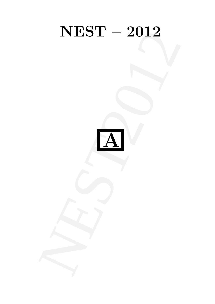# NEST-2012 NEST – 2012

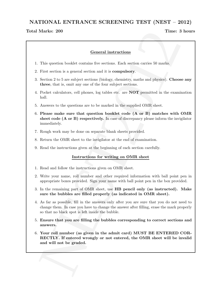# NATIONAL ENTRANCE SCREENING TEST (NEST – 2012)

### Total Marks: 200 and the contract of the contract of the contract of the contract of the contract of the contract of the contract of the contract of the contract of the contract of the contract of the contract of the contr

# General instructions

- 1. This question booklet contains five sections. Each section carries 50 marks.
- 2. First section is a general section and it is compulsory.
- 3. Section 2 to 5 are subject sections (biology, chemistry, maths and physics). Choose any three, that is, omit any one of the four subject sections.
- 4. Pocket calculators, cell phones, log tables etc. are NOT permitted in the examination hall.
- 5. Answers to the questions are to be marked in the supplied OMR sheet.
- Marks: 200<br>
Time: 3 hours<br>
Screened instructions<br>
This question booklet contains for services. Fact action corries 50 marks.<br>
Prince that is a general series of the four subject receives. The Southern principals<br>
Section 6. Please make sure that question booklet code (A or B) matches with OMR sheet code (A or B) respectively. In case of discrepancy please inform the invigilator immediately.
- 7. Rough work may be done on separate blank sheets provided.
- 8. Return the OMR sheet to the invigilator at the end of examination.
- 9. Read the instructions given at the beginning of each section carefully.

### Instructions for writing on OMR sheet

- 1. Read and follow the instructions given on OMR sheet.
- 2. Write your name, roll number and other required information with ball point pen in appropriate boxes provided. Sign your name with ball point pen in the box provided.
- 3. In the remaining part of OMR sheet, use HB pencil only (as instructed). Make sure the bubbles are filled properly (as indicated in OMR sheet).
- 4. As far as possible, fill in the answers only after you are sure that you do not need to change them. In case you have to change the answer after filling, erase the mark properly so that no black spot is left inside the bubble.
- 5. Ensure that you are filling the bubbles corresponding to correct sections and answers.
- 6. Your roll number (as given in the admit card) MUST BE ENTERED COR-RECTLY. If entered wrongly or not entered, the OMR sheet will be invalid and will not be graded.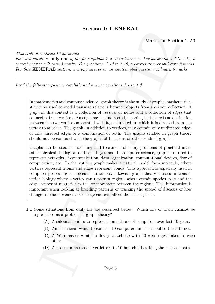# Section 1: GENERAL

# Marks for Section 1: 50

This section contains 19 questions.

For each question, only one of the four options is a correct answer. For questions, 1.1 to 1.12, a correct answer will earn 3 marks. For questions, 1.13 to 1.19, a correct answer will earn 2 marks. For this **GENERAL** section, a wrong answer or an unattempted question will earn  $\theta$  marks.

Read the following passage carefully and answer questions 1.1 to 1.3.

In mathematics and computer science, graph theory is the study of graphs, mathematical structures used to model pairwise relations between objects from a certain collection. A graph in this context is a collection of vertices or nodes and a collection of edges that connect pairs of vertices. An edge may be undirected, meaning that there is no distinction between the two vertices associated with it, or directed, in which it is directed from one vertex to another. The graph, in addition to vertices, may contain only undirected edges or only directed edges or a combination of both. The graphs studied in graph theory should not be confused with the graphs of functions or other kinds of graphs.

Section 1: GENERAL<br>
Section 1: SO<br>
Section 1: 50<br>
contains 19 anothes,<br>
settion, only one of the four contours is a correct account. For goostions, 1: to 1: 12, a<br>
settion, only one of the four contours is a correct accou Graphs can be used in modelling and treatment of many problems of practical interest in physical, biological and social systems. In computer science, graphs are used to represent networks of communication, data organization, computational devices, flow of computation, etc. In chemistry a graph makes a natural model for a molecule, where vertices represent atoms and edges represent bonds. This approach is especially used in computer processing of molecular structures. Likewise, graph theory is useful in conservation biology where a vertex can represent regions where certain species exist and the edges represent migration paths, or movement between the regions. This information is important when looking at breeding patterns or tracking the spread of diseases or how changes in the movement of one species can affect the other species.

- 1.1 Some situations from daily life are described below. Which one of them cannot be represented as a problem in graph theory?
	- (A) A salesman wants to represent annual sale of computers over last 10 years.
	- (B) An electrician wants to connect 10 computers in the school to the Internet.
	- (C) A Web-master wants to design a website with 10 web-pages linked to each other.
	- (D) A postman has to deliver letters to 10 households taking the shortest path.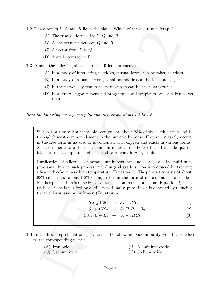**1.2** Three points  $P$ ,  $Q$  and  $R$  lie in the plane. Which of these is **not** a "graph"?

- (A) The triangle formed by P, Q and R.
- (B) A line segment between Q and R.
- $(C)$  A vector from P to Q.
- (D) A circle centred at P.

1.3 Among the following statements, the **false** statement is

- (A) In a study of interacting particles, mutual forces can be taken as edges.
- (B) In a study of a bus network, zonal boundaries can be taken as edges.
- (C) In the nervous system, sensory receptors can be taken as vertices.
- (D) In a study of government aid programme, aid recipients can be taken as vertices.

Read the following passage carefully and answer questions 1.4 to 1.6.

Silicon is a tetravalent metalloid, comprising about 28% of the earth's crust and is the eighth most common element in the universe by mass. However, it rarely occurs in the free form in nature. It is combined with oxygen and exists in various forms. Silicate minerals are the most common minerals on the earth, and include quartz, feldspar, mica, amphibole, etc. The silicates contain  $SiO<sub>4</sub><sup>4</sup>$  units.

Free powers F. Q and K as m the plane. When of these kinds a "grape" is (A) The risingle formed by P, Q and R.<br>
(B) A line segment between Q and R.<br>
(C) A line segment between Q and R.<br>
(C) A line segment between Q and R. Purification of silicon is of paramount importance and is achieved by multi step processes. In one such process, metallurgical grade silicon is produced by treating silica with coke at very high temperature (Equation 1). The product consists of about 98% silicon and about 1-2% of impurities in the form of metals and metal oxides. Further purification is done by converting silicon to trichlorosilane (Equation 2). The trichlorosilane is purified by distillation. Finally, pure silicon is obtained by reducing the trichlorosilane by hydrogen (Equation 3).

 $SiO_2 + 2C \rightarrow Si + 2CO$  (1)

- $Si + 3HCl \rightarrow SiCl_3H + H_2$  (2)
- $SiCl<sub>3</sub>H + H<sub>2</sub> \rightarrow Si + 3HCl$  (3)
- 1.4 In the first step (Equation 1), which of the following oxide impurity would also reduce to the corresponding metal?
	-
	- (C) Calcium oxide. (D) Sodium oxide.
	- (A) Iron oxide. (B) Aluminium oxide.
		-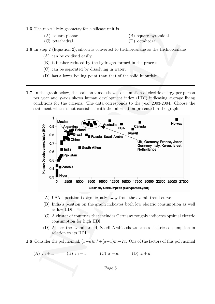1.5 The most likely geometry for a silicate unit is

- 
- (A) square planar. (B) square pyramidal.
- (C) tetrahedral. (D) octahedral.
- 
- 1.6 In step 2 (Equation 2), silicon is converted to trichlorosilane as the trichlorosilane
	- (A) can be oxidised easily.
	- (B) is further reduced by the hydrogen formed in the process.
	- (C) can be separated by dissolving in water.
	- (D) has a lower boiling point than that of the solid impurities.
- 1.7 In the graph below, the scale on x-axis shows consumption of electric energy per person per year and y-axis shows human development index (HDI) indicating average living conditions for the citizens. The data corresponds to the year 2003-2004. Choose the statement which is not consistent with the information presented in the graph.



- (A) USA's position is significantly away from the overall trend curve.
- (B) India's position on the graph indicates both low electric consumption as well as low HDI.
- (C) A cluster of countries that includes Germany roughly indicates optimal electric consumption for high HDI.
- (D) As per the overall trend, Saudi Arabia shows excess electric consumption in relation to its HDI.
- 1.8 Consider the polynomial,  $(x-a)m^2+(a+x)m-2x$ . One of the factors of this polynomial is

(A) 
$$
m+1
$$
. (B)  $m-1$ . (C)  $x-a$ . (D)  $x+a$ .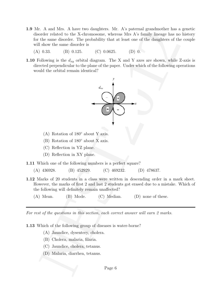- 1.9 Mr. A and Mrs. A have two daughters. Mr. A's paternal grandmother has a genetic disorder related to the X-chromosome, whereas Mrs A's family lineage has no history for the same disorder. The probability that at least one of the daughters of the couple will show the same disorder is
	- (A) 0.33. (B) 0.125. (C) 0.0625. (D) 0.
- 1.10 Following is the  $d_{xy}$  orbital diagram. The X and Y axes are shown, while Z-axis is directed perpendicular to the plane of the paper. Under which of the following operations would the orbital remain identical?



- (A) Rotation of 180◦ about Y axis.
- (B) Rotation of 180◦ about X axis.
- (C) Reflection in YZ plane.
- (D) Reflection in XY plane.

1.11 Which one of the following numbers is a perfect square?

- (A) 436928. (B) 452929. (C) 469232. (D) 478637.
- 1.12 Marks of 20 students in a class were written in descending order in a mark sheet. However, the marks of first 2 and last 2 students got erased due to a mistake. Which of the following will definitely remain unaffected?
	- (A) Mean. (B) Mode. (C) Median. (D) none of these.

For rest of the questions in this section, each correct answer will earn 2 marks.

1.13 Which of the following group of diseases is water-borne?

- (A) Jaundice, dysentery, cholera.
- (B) Cholera, malaria, filaria.
- (C) Jaundice, cholera, tetanus.
- (D) Malaria, diarrhea, tetanus.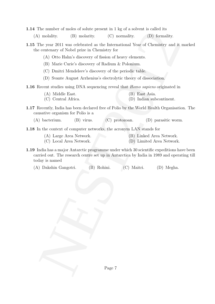- 1.14 The number of moles of solute present in 1 kg of a solvent is called its
	- (A) molality. (B) molarity. (C) normality. (D) formality.
- 1.15 The year 2011 was celebrated as the International Year of Chemistry and it marked the centenary of Nobel prize in Chemistry for
	- (A) Otto Hahn's discovery of fission of heavy elements.
	- (B) Marie Curie's discovery of Radium & Polonium.
	- (C) Dmitri Mendeleev's discovery of the periodic table.
	- (D) Svante August Arrhenius's electrolytic theory of dissociation.
- 1.16 Recent studies using DNA sequencing reveal that Homo sapiens originated in
	- (A) Middle East. (B) East Asia.
	- (C) Central Africa. (D) Indian subcontinent.
- 1.17 Recently, India has been declared free of Polio by the World Health Organisation. The causative organism for Polio is a
	- (A) bacterium. (B) virus. (C) protozoan. (D) parasitic worm.

1.18 In the context of computer networks, the acronym LAN stands for

- (A) Large Area Network. (B) Linked Area Network.
- (C) Local Area Network. (D) Limited Area Network.
	-
- The unitarity of solution profit present in Figs or as absent is establed to the space of solution of the space of the space of the contents of  $\alpha$  Churchington (B) barraity.<br>
The year 2011 was oclochrated as the Interna 1.19 India has a major Antarctic programme under which 30 scientific expeditions have been carried out. The research centre set up in Antarctica by India in 1989 and operating till today is named

(A) Dakshin Gangotri. (B) Rohini. (C) Maitri. (D) Megha.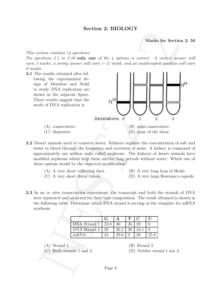# Section 2: BIOLOGY

Marks for Section 2: 50

This section contains 14 questions.

For questions 2.1 to 2.10 only one of the 4 options is correct. A correct answer will earn 3 marks, a wrong answer will earn  $(-1)$  mark, and an unattempted question will earn 0 marks.



2.2 Desert animals need to conserve water. Kidneys regulate the concentration of salt and water in blood through the formation and excretion of urine. A kidney is composed of approximately one million units called nephrons. The kidneys of desert animals have modified nephrons which help them survive long periods without water. Which one of these options would be the expected modification?

- (A) A very short collecting duct. (B) A very long loop of Henle.
- 
- 
- (C) A very short distal tubule. (D) A very large Bowman's capsule.
- 2.3 In an *in vitro* transcription experiment, the transcript and both the strands of DNA were separated and analyzed for their base composition. The result obtained is shown in the following table. Determine which DNA strand is serving as the template for mRNA synthesis.

|                          |     |      | T <sub>1</sub> | $\Gamma$ | $\mathbf{L}$ |
|--------------------------|-----|------|----------------|----------|--------------|
| DNA Strand $1 \mid 23.8$ |     | -30  | 26             |          |              |
| DNA Strand 2             | -20 | 26.2 | 30             | 24.1     |              |
| mRNA                     |     | 29.6 |                |          | 25.8         |

 $(A)$  Strand 1.  $(B)$  Strand 2.

(C) Both strands 1 and 2. (D) Neither strand 1 nor 2.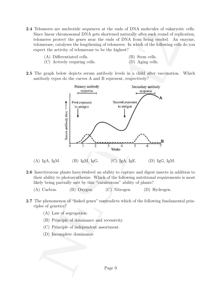- 2.4 Telomeres are nucleotide sequences at the ends of DNA molecules of eukaryotic cells. Since linear chromosomal DNA gets shortened naturally after each round of replication, telomeres protect the genes near the ends of DNA from being eroded. An enzyme, telomerase, catalyses the lengthening of telomeres. In which of the following cells do you expect the activity of telomerase to be the highest?
	- (A) Differentiated cells. (B) Stem cells.
		-
	- (C) Actively respiring cells. (D) Aging cells.
- 
- 2.5 The graph below depicts serum antibody levels in a child after vaccination. Which antibody types do the curves A and B represent, respectively?



- 2.6 Insectivorous plants have evolved an ability to capture and digest insects in addition to their ability to photosynthesize. Which of the following nutritional requirements is most likely being partially met by this "carnivorous" ability of plants?
	- (A) Carbon. (B) Oxygen. (C) Nitrogen. (D) Hydrogen.
- 2.7 The phenomenon of "linked genes" contradicts which of the following fundamental principles of genetics?
	- (A) Law of segregation.
	- (B) Principle of dominance and recessivity.
	- (C) Principle of independent assortment.
	- (D) Incomplete dominance.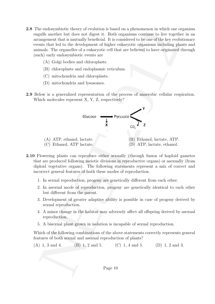- 2.8 The endosymbiotic theory of evolution is based on a phenomenon in which one organism engulfs another but does not digest it. Both organisms continue to live together in an arrangement that is mutually beneficial. It is considered to be one of the key evolutionary events that led to the development of higher eukaryotic organisms including plants and animals. The organelles of a eukaryotic cell that are believed to have originated through (such) early endosymbiotic events are
	- (A) Golgi bodies and chloroplasts.
	- (B) chloroplasts and endoplasmic reticulum.
	- (C) mitochondria and chloroplasts.
	- (D) mitochondria and lysosomes.
- 2.9 Below is a generalized representation of the process of anaerobic cellular respiration. Which molecules represent X, Y, Z, respectively?



- 2.10 Flowering plants can reproduce either sexually (through fusion of haploid gametes that are produced following meiotic divisions in reproductive organs) or asexually (from diploid vegetative organs). The following statements represent a mix of correct and incorrect general features of both these modes of reproduction.
	- 1. In sexual reproduction, progeny are genetically different from each other.
	- 2. In asexual mode of reproduction, progeny are genetically identical to each other but different from the parent.
	- 3. Development of greater adaptive ability is possible in case of progeny derived by sexual reproduction.
	- 4. A minor change in the habitat may adversely affect all offspring derived by asexual reproduction.
	- 5. A bisexual plant grown in isolation is incapable of sexual reproduction.

Which of the following combinations of the above statements correctly represents general features of both sexual and asexual reproduction of plants?

(A) 1, 3 and 4. (B) 1, 2 and 5. (C) 1, 4 and 5. (D) 1, 2 and 3.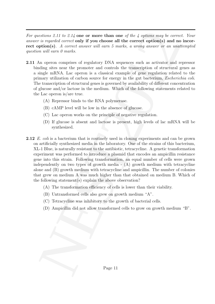For questions 2.11 to 2.14 one or more than one of the 4 options may be correct. Your answer is regarded correct only if you choose all the correct option(s) and no incorrect option(s). A correct answer will earn 5 marks, a wrong answer or an unattempted question will earn 0 marks.

- 2.11 An operon comprises of regulatory DNA sequences such as activator and repressor binding sites near the promoter and controls the transcription of structural genes as a single mRNA. Lac operon is a classical example of gene regulation related to the primary utilization of carbon source for energy in the gut bacterium, Escherichia coli. The transcription of structural genes is governed by availability of different concentration of glucose and/or lactose in the medium. Which of the following statements related to the Lac operon is/are true.
	- (A) Repressor binds to the RNA polymerase.
	- (B) cAMP level will be low in the absence of glucose.
	- (C) Lac operon works on the principle of negative regulation.
	- (D) If glucose is absent and lactose is present, high levels of lac mRNA will be synthesized.
- setions 2.17 to 2.17 one or more than one of the  $l$  options any is correct. Your is regulated correct top if the correct options of the correct options (Syrigon) and infroduces of the correct options) and incorrect optio 2.12 E. coli is a bacterium that is routinely used in cloning experiments and can be grown on artificially synthesized media in the laboratory. One of the strains of this bacterium, XL-1 Blue, is naturally resistant to the antibiotic, tetracycline. A genetic transformation experiment was performed to introduce a plasmid that encodes an ampicillin resistance gene into this strain. Following transformation, an equal number of cells were grown independently on two types of growth media - (A) growth medium with tetracycline alone and (B) growth medium with tetracycline and ampicillin. The number of colonies that grew on medium A was much higher than that obtained on medium B. Which of the following statement(s) explain the above observation?
	- (A) The transformation efficiency of cells is lower than their viability.
	- (B) Untransformed cells also grew on growth medium "A".
	- (C) Tetracycline was inhibitory to the growth of bacterial cells.
	- (D) Ampicillin did not allow transformed cells to grow on growth medium "B".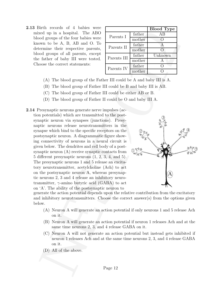2.13 Birth records of 4 babies were mixed up in a hospital. The ABO blood groups of the four babies were known to be A, B, AB and O. To determine their respective parents, blood groups of all parents, except the father of baby III were tested. Choose the correct statements:

|             |        | <b>Blood Type</b> |
|-------------|--------|-------------------|
| Parents I   | father | ΑB                |
|             | mother |                   |
| Parents II  | father |                   |
|             | mother |                   |
| Parents III | father | Unknown           |
|             | mother | А                 |
| Parents IV  | father |                   |
|             | mother |                   |

- (A) The blood group of the Father III could be A and baby III is A.
- (B) The blood group of Father III could be B and baby III is AB.
- (C) The blood group of Father III could be either AB or B.
- (D) The blood group of Father II could be O and baby III A.
- 2.1 where the state is the state of the state of the state of the state of the state of the state of the state of the state of the state of the state of the state of the state of the state of the state of the state of the 2.14 Presynaptic neurons generate nerve impulses (action potentials) which are transmitted to the postsynaptic neuron via synapses (junctions). Presynaptic neurons release neurotransmitters in the synapse which bind to the specific receptors on the postsynaptic neuron. A diagrammatic figure showing connectivity of neurons in a neural circuit is given below. The dendrites and cell body of a postsynaptic neuron (A) receive synaptic contacts from 5 different presynaptic neurons (1, 2, 3, 4, and 5). The presynaptic neurons 1 and 5 release an excitatory neurotransmitter, acetylcholine (Ach) to act on the postsynaptic neuron A, whereas presynaptic neurons 2, 3 and 4 release an inhibitory neurotransmitter,  $\gamma$ -amino butyric acid (GABA) to act on 'A'. The ability of the postsynaptic neuron to



generate the action potential depends upon the relative contribution from the excitatory and inhibitory neurotransmitters. Choose the correct answer(s) from the options given below.

- (A) Neuron A will generate an action potential if only neurons 1 and 5 release Ach on it.
- (B) Neuron A will generate an action potential if neuron 1 releases Ach and at the same time neurons 2, 3, and 4 release GABA on it.
- (C) Neuron A will not generate an action potential but instead gets inhibited if neuron 1 releases Ach and at the same time neurons 2, 3, and 4 release GABA on it.
- (D) All of the above.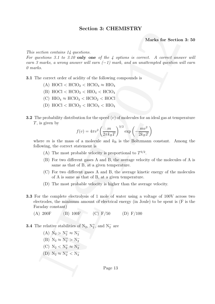# Section 3: CHEMISTRY

Marks for Section 3: 50

This section contains 14 questions.

For questions 3.1 to 3.10 only one of the 4 options is correct. A correct answer will earn 3 marks, a wrong answer will earn  $(-1)$  mark, and an unattempted question will earn 0 marks.

3.1 The correct order of acidity of the following compounds is

- (A)  $\text{HOC1} < \text{HClO}_2 < \text{HClO}_4 \approx \text{HIO}_4$
- (B)  $\text{HOC1} < \text{HClO}_2 < \text{HIO}_4 < \text{HClO}_4$
- (C)  $HIO_4 \approx HClO_4 < HClO_2 < HOCl$
- (D)  $HOCI < HClO<sub>2</sub> < HClO<sub>4</sub> < HIO<sub>4</sub>$
- **3.2** The probability distribution for the speed  $(v)$  of molecules for an ideal gas at temperature  $T$ , is given by

$$
f(v) = 4\pi v^2 \left(\frac{m}{2\pi k_B T}\right)^{3/2} \exp\left(-\frac{mv^2}{2k_B T}\right)
$$

where m is the mass of a molecule and  $k_B$  is the Boltzmann constant. Among the following, the correct statement is

- (A) The most probable velocity is proportional to  $T^{3/2}$ .
- (B) For two different gases A and B, the average velocity of the molecules of A is same as that of B, at a given temperature.
- (C) For two different gases A and B, the average kinetic energy of the molecules of A is same as that of B, at a given temperature.
- (D) The most probable velocity is higher than the average velocity.
- **SECTION 3:** CFIENTISTIKY<br>
Marks for Section 3: 50<br>
stations and if  $y$  axistions.<br>
Stations 3.1 to 3.10 only one of the 4 options is everted. A corred case<br>or soliton 3.1 to 3.10 only one of the 4 options is everted. A c 3.3 For the complete electrolysis of 1 mole of water using a voltage of 100V across two electrodes, the minimum amount of electrical energy (in Joule) to be spent is (F is the Faraday constant)
	- (A) 200F (B) 100F (C) F/50 (D) F/100
- **3.4** The relative stabilities of  $N_2$ ,  $N_2^+$ , and  $N_2^-$  are

(A)  $N_2 > N_2^+ \approx N_2^-$ 2 (B)  $N_2 \approx N_2^+ > N_2^-$ 2 (C)  $N_2 < N_2^+ \approx N_2^-$ 2 (D)  $N_2 \approx N_2^+ < N_2^-$ 2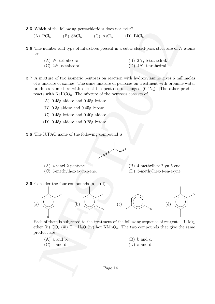- 3.5 Which of the following pentachlorides does not exist?
	- (A)  $PCl_5$  (B)  $SbCl_5$  (C)  $AsCl_5$  (D)  $BiCl_5$
- 3.6 The number and type of interstices present in a cubic closed-pack structure of N atoms are
	- (A) N, tetrahedral. (B) 2N, tetrahedral.  $(C)$  2N, octahedral.  $(D)$  4N, tetrahedral.
- 3.7 A mixture of two isomeric pentoses on reaction with hydroxylamine gives 5 millimoles of a mixture of oximes. The same mixture of pentoses on treatment with bromine water produces a mixture with one of the pentoses unchanged (0.45g). The other product reacts with  $\text{NaHCO}_3$ . The mixture of the pentoses consists of
	- (A) 0.45g aldose and 0.45g ketose.
	- (B) 0.3g aldose and 0.45g ketose.
	- (C) 0.45g ketose and 0.40g aldose.
	- (D) 0.45g aldose and 0.25g ketose.
- 3.8 The IUPAC name of the following compound is



- (A) 4-vinyl-2-pentyne. (B) 4-methylhex-2-yn-5-ene.
	-
- (C) 3-methylhex-4-yn-1-ene. (D) 3-methylhex-1-en-4-yne.
- 
- 3.9 Consider the four compounds (a) (d)



Each of them is subjected to the treatment of the following sequence of reagents: (i) Mg, ether (ii)  $CO_2$  (iii)  $H^+$ ,  $H_2O$  (iv) hot  $KMnO_4$ . The two compounds that give the same product are

 $(A)$  a and b.  $(B)$  b and c.  $(C)$  c and d.  $(D)$  a and d.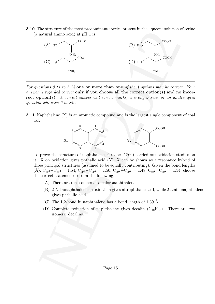3.10 The structure of the most predominant species present in the aqueous solution of serine (a natural amino acid) at pH 1 is



For questions 3.11 to 3.14 one or more than one of the 4 options may be correct. Your answer is regarded correct only if you choose all the correct option(s) and no incorrect option(s). A correct answer will earn 5 marks, a wrong answer or an unattempted question will earn 0 marks.

3.11 Naphthalene (X) is an aromatic compound and is the largest single component of coal tar.



To prove the structure of naphthalene, Graebe (1869) carried out oxidation studies on it. X on oxidation gives phthalic acid (Y). X can be shown as a resonance hybrid of three principal structures (assumed to be equally contributing). Given the bond lengths (Å):  $C_{sp^3}-C_{sp^3} = 1.54$ ;  $C_{sp^3}-C_{sp^2} = 1.50$ ;  $C_{sp^2}-C_{sp^2} = 1.48$ ;  $C_{sp^2}=C_{sp^2} = 1.34$ , choose the correct statement(s) from the following.

- (A) There are ten isomers of dichloronaphthalene.
- (B) 2-Nitronaphthalene on oxidation gives nitrophthalic acid, while 2-aminonaphthalene gives phthalic acid.
- (C) The 1,2-bond in naphthalene has a bond length of 1.39 Å.
- (D) Complete reduction of naphthalene gives decalin  $(C_{10}H_{18})$ . There are two isomeric decalins.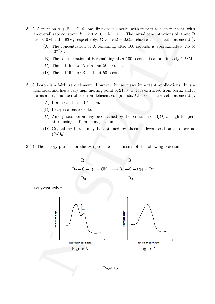- **3.12** A reaction  $A + B \rightarrow C$ , follows first order kinetics with respect to each reactant, with an overall rate constant,  $k = 2.0 \times 10^{-3} \text{ M}^{-1} \text{ s}^{-1}$ . The initial concentrations of A and B are 0.10M and 6.93M, respectively. Given  $ln2 = 0.693$ , choose the correct statement(s).
	- (A) The concentration of A remaining after 100 seconds is approximately 2.5  $\times$  $10^{-2}$ M.
	- (B) The concentration of B remaining after 100 seconds is approximately 1.73M.
	- (C) The half-life for A is about 50 seconds.
	- (D) The half-life for B is about 50 seconds.
- 3.13 Boron is a fairly rare element. However, it has many important applications. It is a nonmetal and has a very high melting point of 2180 ◦C. It is extracted from borax and it forms a large number of electron deficient compounds. Choose the correct statement(s).
	- (A) Boron can form  $BF_6^{3-}$  ion.
	- (B)  $B_2O_3$  is a basic oxide.
	- (C) Amorphous boron may be obtained by the reduction of  $B_2O_3$  at high temperature using sodium or magnesium.
	- (D) Crystalline boron may be obtained by thermal decomposition of diborane  $(B_2H_6).$
- 3.14 The energy profiles for the two possible mechanisms of the following reaction,



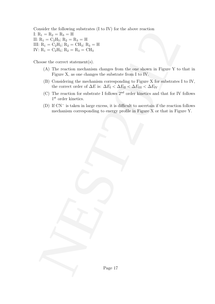and the Voltomity situations (1 to 1 V) for the above reaction<br>  $P_1 = P_2 - P_3 = P_1 = P_2 - P_3$ <br>  $P_3 = P_4 + P_5 = P_4 = P_5$ <br>  $P_4 = Q_3P_5$ ;  $R_4 = Q_1P_5$ ;  $R_5 = P_6P_5$ <br>  $P_6 = Q_3P_6$ ;  $R_5 = Q_3P_6$ ;  $R_6 = P_6P_6$ <br>  $P_7 = P_6P_5$ ;  $R_8 = Q_3P$ Consider the following substrates (I to IV) for the above reaction I:  $R_1 = R_2 = R_3 = H$ II:  $R_1 = C_2H_5$ ;  $R_2 = R_3 = H$ III:  $R_1 = C_2H_5$ ;  $R_2 = CH_3$ ;  $R_3 = H$ IV:  $R_1 = C_2H_5$ ;  $R_2 = R_3 = CH_3$ 

Choose the correct statement(s).

- (A) The reaction mechanism changes from the one shown in Figure Y to that in Figure X, as one changes the substrate from I to IV.
- (B) Considering the mechanism corresponding to Figure X for substrates I to IV, the correct order of  $\Delta E$  is:  $\Delta E_I < \Delta E_{II} < \Delta E_{III} < \Delta E_{IV}$
- (C) The reaction for substrate I follows 2nd order kinetics and that for IV follows  $1^{\rm st}$  order kinetics.
- (D) If CN<sup>−</sup> is taken in large excess, it is difficult to ascertain if the reaction follows mechanism corresponding to energy profile in Figure X or that in Figure Y.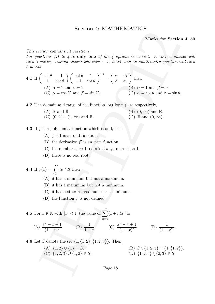# Section 4: MATHEMATICS

Marks for Section 4: 50

This section contains 14 questions.

For questions  $4.1$  to  $4.10$  only one of the 4 options is correct. A correct answer will earn 3 marks, a wrong answer will earn  $(-1)$  mark, and an unattempted question will earn 0 marks.

**Section 4:** MATLAB **IMATHEINATIONS**  
\n**Marks for Section 4:** 50  
\n*For questions 4.1 to 4.10* only one of the 4 options is correct. A correct answer will  
\n*an 3 marks*, a wrong answer will earn (-1) mark, and an unattempted question will earn  
\n*0 marks*.  
\n**4.1** If 
$$
\begin{pmatrix} \cot \theta & -1 \\ 1 & \cot \theta \end{pmatrix} \begin{pmatrix} \cot \theta & 1 \\ -1 & \cot \theta \end{pmatrix}^{-1} = \begin{pmatrix} \alpha & -\beta \\ \beta & \alpha \end{pmatrix}
$$
 then  
\n(A)  $\alpha = 1$  and  $\beta = 1$ .  
\n(C)  $\alpha = \cos 2\theta$  and  $\beta = \sin 2\theta$ .  
\n**4.2** The domain and range of the function  $\log(|\log x|)$  are respectively,  
\n(A) R and R.  
\n(C) (0, 1)  $\cup$  (1,  $\infty$ ) and R.  
\n**4.3** If *f* is a polynomial function which is odd, then  
\n(A) *f* + 1 is an odd function.  
\n(B) the derivative *f'* is an even function.  
\n(C) the number of real roots is always more than 1.  
\n(D) there is no real root.  
\n**4.4** If  $f(x) = \int_0^x te^{-t}dt$  then  
\n(A) it has a minimum but not a minimum.  
\n(B) it has maximum but not a minimum.  
\n(D) the function *f* is not defined.  
\n**4.5** For  $x \in \mathbb{R}$  with  $|x| < 1$ , the value of  $\sum_{n=0}^{\infty} (1 + n)x^n$  is  
\n(A)  $\frac{x^2 + x + 1}{(1 - x)^2}$ .  
\n(B)  $\frac{1}{1 - x}$ .  
\n(C)  $\frac{x^2 - x + 1}{(1 - x)^2}$ .  
\n**4.6** Let *S* denote the set {1, {1, 2}, {1, 2, 3}}. Then,  
\n(A) {1, 2}, 1, 1, 2, 3}, 1, 2, 3} (B) {1, 2, 3} {2, 3} ∈ S.  
\nBage 18

4.2 The domain and range of the function  $log(||log x|)$  are respectively,

| $(A) \mathbb{R}$ and $\mathbb{R}$ .                | $(B)$ $(0, \infty)$ and $\mathbb{R}$ . |
|----------------------------------------------------|----------------------------------------|
| $(C)$ $(0, 1) \cup (1, \infty)$ and $\mathbb{R}$ . | (D) R and $(0, \infty)$ .              |

**4.3** If  $f$  is a polynomial function which is odd, then

- (A)  $f + 1$  is an odd function.
- (B) the derivative  $f'$  is an even function.
- (C) the number of real roots is always more than 1.
- (D) there is no real root.

**4.4** If 
$$
f(x) = \int_0^x te^{-t}dt
$$
 then

(A) it has a minimum but not a maximum.

- (B) it has a maximum but not a minimum.
- (C) it has neither a maximum nor a minimum.
- (D) the function  $f$  is not defined.

**4.5** For 
$$
x \in \mathbb{R}
$$
 with  $|x| < 1$ , the value of  $\sum_{n=0}^{\infty} (1+n)x^n$  is

(A) 
$$
\frac{x^2 + x + 1}{(1 - x)^2}
$$
. (B)  $\frac{1}{1 - x}$ . (C)  $\frac{x^2 - x + 1}{(1 - x)^2}$ . (D)  $\frac{1}{(1 - x)^2}$ .

**4.6** Let S denote the set  $\{1, \{1, 2\}, \{1, 2, 3\}\}\.$  Then,

(A)  $\{1, 2\} \cup \{1\} \subseteq S.$ <br>(B)  $S \setminus \{1, 2, 3\} = \{1, \{1, 2\}\}.$ (C)  $\{1, 2, 3\} \cup \{1, 2\} \in S.$  (D)  $\{1, 2, 3\} \setminus \{2, 3\} \in S.$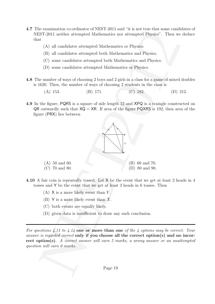- 4.7 The examination co-ordinator of NEST-2011 said "it is not true that some candidates of NEST-2011 neither attempted Mathematics nor attempted Physics". Then we deduce that
	- (A) all candidates attempted Mathematics or Physics.
	- (B) all candidates attempted both Mathematics and Physics.
	- (C) some candidates attempted both Mathematics and Physics.
	- (D) some candidates attempted Mathematics or Physics.
- 4.8 The number of ways of choosing 2 boys and 2 girls in a class for a game of mixed doubles is 1620. Then, the number of ways of choosing 2 students in the class is
	- (A) 153. (B) 171. (C) 182. (D) 212.
- 4.9 In the figure, PQRS is a square of side length 12 and XPQ is a traingle constructed on  $QR$  outwardly such that  $XQ = XR$ . If area of the figure PQXRS is 192, then area of the figure (PRX) lies between



- 4.10 A fair coin is repeatedly tossed. Let X be the event that we get at least 2 heads in 4 tosses and Y be the event that we get at least 3 heads in 6 tosses. Then
	- (A)  $X$  is a more likely event than Y.
	- (B) Y is a more likely event than X.
	- (C) both events are equally likely.
	- (D) given data is insufficient to draw any such conclusion.

For questions 4.11 to 4.14 one or more than one of the 4 options may be correct. Your answer is regarded correct only if you choose all the correct option(s) and no incorrect option(s). A correct answer will earn 5 marks, a wrong answer or an unattempted question will earn 0 marks.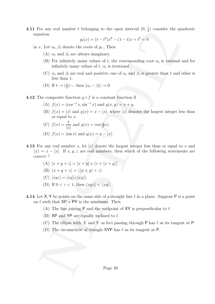**4.11** For any real number t belonging to the open interval  $(0, \frac{1}{2})$  $\frac{1}{2}$ ) consider the quadratic equation

$$
p_t(x) = (t - t^2)x^2 - (1 - t)x + t^2 = 0
$$

in x. Let  $\alpha_t, \beta_t$  denote the roots of  $p_t$ ., Then

- (A)  $\alpha_t$  and  $\beta_t$  are always imaginary.
- (B) For infinitely many values of t, the corresponding root  $\alpha_t$  is rational and for infinitely many values of  $t$ ,  $\alpha_t$  is irrational.
- (C)  $\alpha_t$  and  $\beta_t$  are real and positive; one of  $\alpha_t$  and  $\beta_t$  is greater than 1 and other is less than 1.
- (D) If  $t \to (\frac{1}{2})$  $(\frac{1}{2})$ -, then  $|\alpha_t - \beta_t| \to 0$ .
- 4.12 The composite function  $g \circ f$  is a constant function if
	- (A)  $f(x) = (\cos^{-1} x, \sin^{-1} x)$  and  $q(x, y) = x + y$ .
	- (B)  $f(x) = |x|$  and  $g(x) = x |x|$ , where  $|x|$  denotes the largest integer less than or equal to x.

(C) 
$$
f(x) = \frac{x}{|x|}
$$
 and  $g(x) = \cos(\frac{\pi}{2}x)$ .

(D) 
$$
f(x) = |\sin x|
$$
 and  $g(x) = x - [x]$ .

- or any real number to be<br>origin to the open means)  $(0, \frac{1}{2})$  consider the quadratic<br>x. Let<br> $\alpha_i, \beta_i$  denote the roots of  $p_i$ . Then<br>(A)  $\alpha_i$  and  $\beta_i$  are always imaginary.<br>(B) For infinitely many values of  $t$ ,  $\alpha_i$ 4.13 For any real number x, let |x| denote the largest integer less than or equal to x and  $\langle x \rangle = x - [x]$ . If  $x, y, z$  are real numbers, then which of the following statements are correct ?
	- (A)  $[x + y + z] = [x + y] + [z + \langle x + y \rangle].$
	- (B)  $\langle x + y + z \rangle = \langle \langle x + y \rangle + z \rangle.$
	- (C)  $[xyz] = [xy][z\langle xy \rangle].$
	- (D) If  $0 < z < 1$ , then  $\langle xyz \rangle < \langle xy \rangle$ .
- 4.14 Let X, Y be points on the same side of a straight line  $\ell$  in a plane. Suppose P is a point on  $\ell$  such that  $XP + PY$  is the minimum. Then
	- (A) The line joining P and the midpoint of XY is perpendicular to  $\ell$ .
	- (B)  $XP$  and  $YP$  are equally inclined to  $\ell$ .
	- (C) The ellipse with X and Y as foci passing through P has  $\ell$  as its tangent at P.
	- (D) The circumcircle of triangle XYP has  $\ell$  as its tangent at P.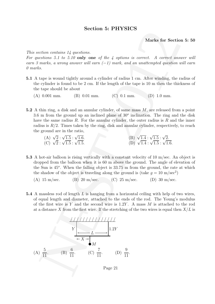# Section 5: PHYSICS

Marks for Section 5: 50

This section contains 14 questions.

For questions 5.1 to 5.10 only one of the 4 options is correct. A correct answer will earn 3 marks, a wrong answer will earn  $(-1)$  mark, and an unattempted question will earn 0 marks.

- 5.1 A tape is wound tightly around a cylinder of radius 1 cm. After winding, the radius of the cylinder is found to be 2 cm. If the length of the tape is 10 m then the thickness of the tape should be about
	- (A) 0.001 mm. (B) 0.01 mm. (C) 0.1 mm. (D) 1.0 mm.
- 5.2 A thin ring, a disk and an annular cylinder, of same mass  $M$ , are released from a point 3.6 m from the ground up an inclined plane of  $30<sup>o</sup>$  inclination. The ring and the disk have the same radius R. For the annular cylinder, the outer radius is R and the inner radius is  $R/2$ . Times taken by the ring, disk and annular cylinder, respectively, to reach the ground are in the ratio,
	- (A)  $\sqrt{2} : \sqrt{1.5} : \sqrt{2}$ 1.6. (B)  $\sqrt{1.4}$  :  $\sqrt{1.5}$  :  $\sqrt{2}$ . (C)  $\sqrt{2} : \sqrt{1.5} : \sqrt{2}$ 1.5. (D)  $\sqrt{1.4}$  :  $\sqrt{1.5}$  :  $\sqrt{1.6}$ .
- 5.3 A hot-air balloon is rising vertically with a constant velocity of 10 m/sec. An object is dropped from the balloon when it is 60 m above the ground. The angle of elevation of the Sun is 45<sup>o</sup>. When the falling object is 33.75 m from the ground, the rate at which the shadow of the object is traveling along the ground is (take  $g = 10 \text{ m/sec}^2$ )
	- (A)  $15 \text{ m/sec.}$  (B)  $20 \text{ m/sec.}$  (C)  $25 \text{ m/sec.}$  (D)  $30 \text{ m/sec.}$
- 5.4 A massless rod of length L is hanging from a horizontal ceiling with help of two wires, of equal length and diameter, attached to the ends of the rod. The Young's modulus of the first wire is Y and the second wire is  $1.2Y$ . A mass M is attached to the rod at a distance X from the first wire. If the stretching of the two wires is equal then  $X/L$  is

**Section** 3: **PHY SICS** Marks for Section 5: 50  
\n*mass*, *a underans* 14 *questions*.  
\n*n g marks*, *a wrong assuer will earn* 
$$
(-1)
$$
 *mark*, *and an unattempted question will earn*  
\n*a marks*, *a wrong answer will earn*  $(-1)$  *mark*, *and an unattempted question will earn*  
\nAt tape is bound tightly around a cylinder of radius 1 cm. After winding, the radius of the tape should be about  
\n(A) 0.001 mm. (B) 0.01 mm. (C) 0.1 mm. (D) 1.0 mm.  
\nA thin ring, a disk and an annular cylinder, of same mass *M*, are released from a point  
\nthe time stand and a smaller cylinder, of same mass *M*, are released from a point  
\nhave the same radius *R*. For the annular cylinder, the outer radius is *R* and the inner  
\nradius is *R*/2. Times taken by the ring, disk and annular cylinder, respectively, to reach  
\nthe ground are in the ratio,  
\n(A)  $\sqrt{2}$ :  $\sqrt{1.5}$ :  $\sqrt{1.6}$ . (B)  $\sqrt{1.4}$ :  $\sqrt{1.5}$ :  $\sqrt{2}$ .  
\n(C)  $\sqrt{2}$ :  $\sqrt{1.5}$ :  $\sqrt{1.5}$ . (D)  $\sqrt{1.4}$ :  $\sqrt{1.5}$ :  $\sqrt{1.6}$ .  
\nA hot-air balloon is rising vertically with a constant velocity of 10 m/sec. An object is  
\ndropped from the balloon when it is 60 m above the ground. The angle of elevation of  
\nthe Sun is 45°. When the falling object is 33.75 m from the ground, the rate at which  
\nthe shudow of the object is traveling along the ground is (take *g* = 10 m/sec<sup>2</sup>)  
\n(A) 15 m/sec. (B) 20 m/sec. (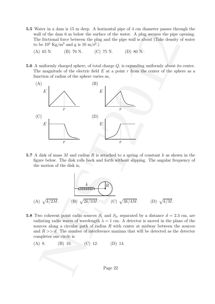- 5.5 Water in a dam is 15 m deep. A horizontal pipe of 4 cm diameter passes through the wall of the dam 6 m below the surface of the water. A plug secures the pipe opening. The frictional force between the plug and the pipe wall is about (Take density of water to be  $10^3 \text{ Kg/m}^3$  and g is  $10 \text{ m/s}^2$ .)
	- (A) 65 N. (B) 70 N. (C) 75 N. (D) 80 N.
- 5.6 A uniformly charged sphere, of total charge Q, is expanding uniformly about its center. The magnitude of the electric field  $E$  at a point  $r$  from the center of the sphere as a function of radius of the sphere varies as,



5.7 A disk of mass M and radius R is attached to a spring of constant  $k$  as shown in the figure below. The disk rolls back and forth without slipping. The angular frequency of the motion of the disk is,

$$
(A) \sqrt{k/2M}.
$$
 (B)  $\sqrt{2k/3M}$ . (C)  $\sqrt{3k/4M}$ . (D)  $\sqrt{k/M}$ .

- 5.8 Two coherent point radio sources  $S_1$  and  $S_2$ , separated by a distance  $d = 2.3$  cm, are radiating radio waves of wavelength  $\lambda = 1$  cm. A detector is moved in the plane of the sources along a circular path of radius  $R$  with center at midway between the sources and  $R \gg d$ . The number of interference maxima that will be detected as the detector completes one circle is
	- (A) 8. (B) 10. (C) 12. (D) 14.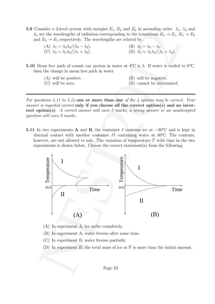- **5.9** Consider a 3-level system with energies  $E_1$ ,  $E_2$  and  $E_3$  in ascending order.  $\lambda_1$ ,  $\lambda_2$  and  $\lambda_3$  are the wavelengths of radiation corresponding to the transitions  $E_2 \to E_1, E_3 \to E_2$ and  $E_3 \rightarrow E_1$  respectively. The wavelengths are related by,
	- (A)  $\lambda_1 = \lambda_2 \lambda_3 / (\lambda_3 \lambda_2)$ .<br>
	(C)  $\lambda_2 = \lambda_1 \lambda_3 / (\lambda_1 + \lambda_3)$ .<br>
	(D)  $\lambda_3 = \lambda_1 \lambda_2 / (\lambda_1 + \lambda_2)$ . (C)  $\lambda_2 = \lambda_1 \lambda_3/(\lambda_1 + \lambda_3)$ .
- 5.10 Mean free path of cosmic ray proton in water at  $4^{\circ}$ C is  $\lambda$ . If water is cooled to  $0^{\circ}$ C, then the change in mean free path in water
	- (A) will be positive. (B) will be negative.
	- (C) will be zero. (D) cannot be determined.

For questions 5.11 to 5.14 one or more than one of the 4 options may be correct. Your answer is regarded correct only if you choose all the correct option(s) and no incorrect option(s). A correct answer will earn 5 marks, a wrong answer or an unattempted question will earn 0 marks.

5.11 In two experiments A and B, the container I contains ice at  $-30^{\circ}$ C and is kept in thermal contact with another container II containing water at  $40^{\circ}$ C. The contents, however, are not allowed to mix. The variation of temperature  $T$  with time in the two experiments is shown below. Choose the correct statement(s) from the following.



- (A) In experiment A, ice melts completely.
- (B) In experiment A, water freezes after some time.
- (C) In experiment B, water freezes partially.
- (D) In experiment B, the total mass of ice at P is more than the initial amount.